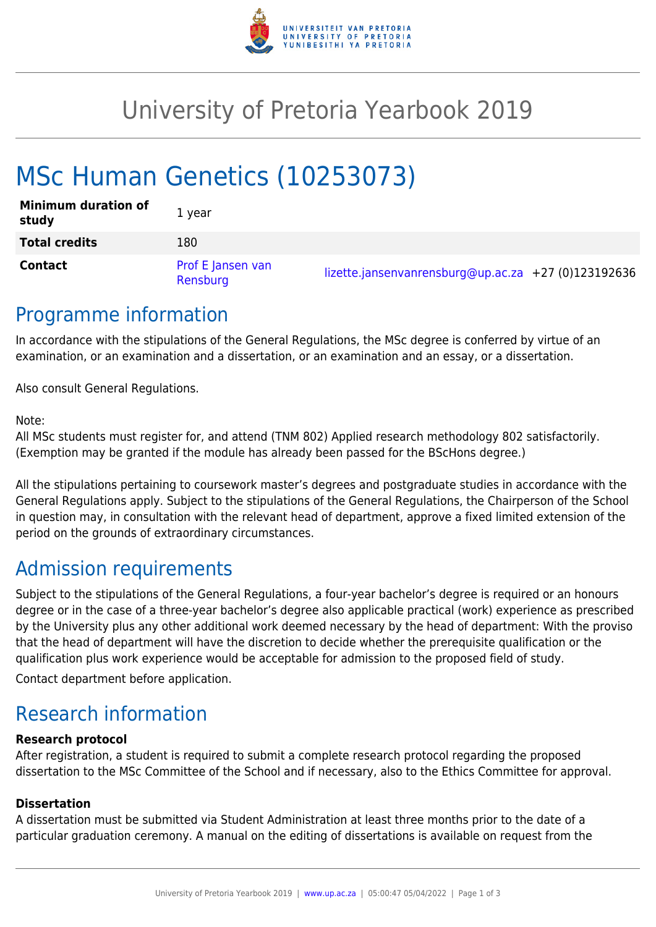

## University of Pretoria Yearbook 2019

# MSc Human Genetics (10253073)

| <b>Minimum duration of</b><br>study | 1 year                        |                                                     |  |
|-------------------------------------|-------------------------------|-----------------------------------------------------|--|
| <b>Total credits</b>                | 180                           |                                                     |  |
| <b>Contact</b>                      | Prof E Jansen van<br>Rensburg | lizette.jansenvanrensburg@up.ac.za +27 (0)123192636 |  |

### Programme information

In accordance with the stipulations of the General Regulations, the MSc degree is conferred by virtue of an examination, or an examination and a dissertation, or an examination and an essay, or a dissertation.

Also consult General Regulations.

Note:

All MSc students must register for, and attend (TNM 802) Applied research methodology 802 satisfactorily. (Exemption may be granted if the module has already been passed for the BScHons degree.)

All the stipulations pertaining to coursework master's degrees and postgraduate studies in accordance with the General Regulations apply. Subject to the stipulations of the General Regulations, the Chairperson of the School in question may, in consultation with the relevant head of department, approve a fixed limited extension of the period on the grounds of extraordinary circumstances.

### Admission requirements

Subject to the stipulations of the General Regulations, a four-year bachelor's degree is required or an honours degree or in the case of a three-year bachelor's degree also applicable practical (work) experience as prescribed by the University plus any other additional work deemed necessary by the head of department: With the proviso that the head of department will have the discretion to decide whether the prerequisite qualification or the qualification plus work experience would be acceptable for admission to the proposed field of study.

Contact department before application.

### Research information

#### **Research protocol**

After registration, a student is required to submit a complete research protocol regarding the proposed dissertation to the MSc Committee of the School and if necessary, also to the Ethics Committee for approval.

#### **Dissertation**

A dissertation must be submitted via Student Administration at least three months prior to the date of a particular graduation ceremony. A manual on the editing of dissertations is available on request from the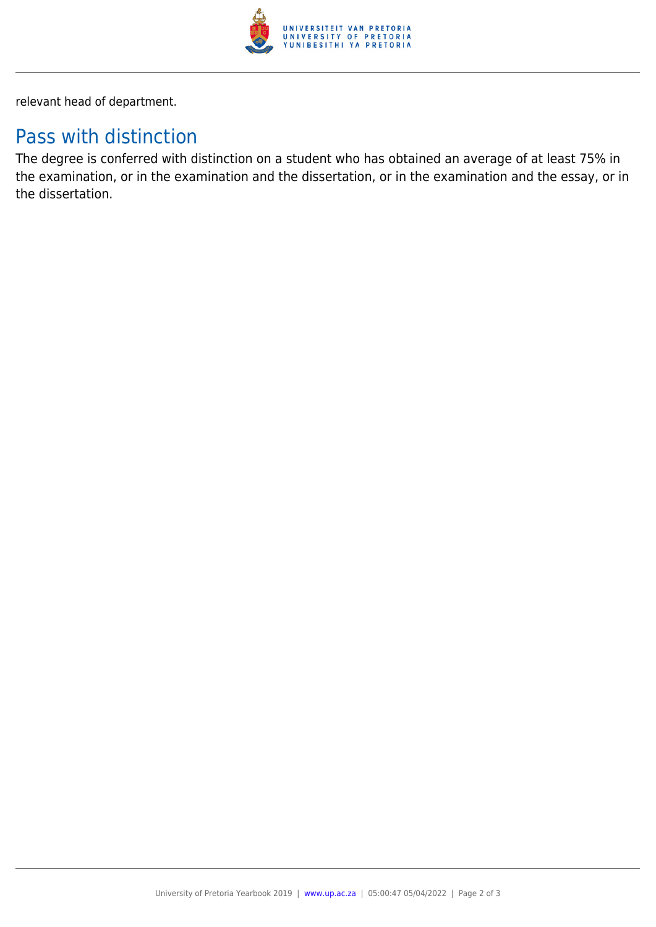

relevant head of department.

### Pass with distinction

The degree is conferred with distinction on a student who has obtained an average of at least 75% in the examination, or in the examination and the dissertation, or in the examination and the essay, or in the dissertation.